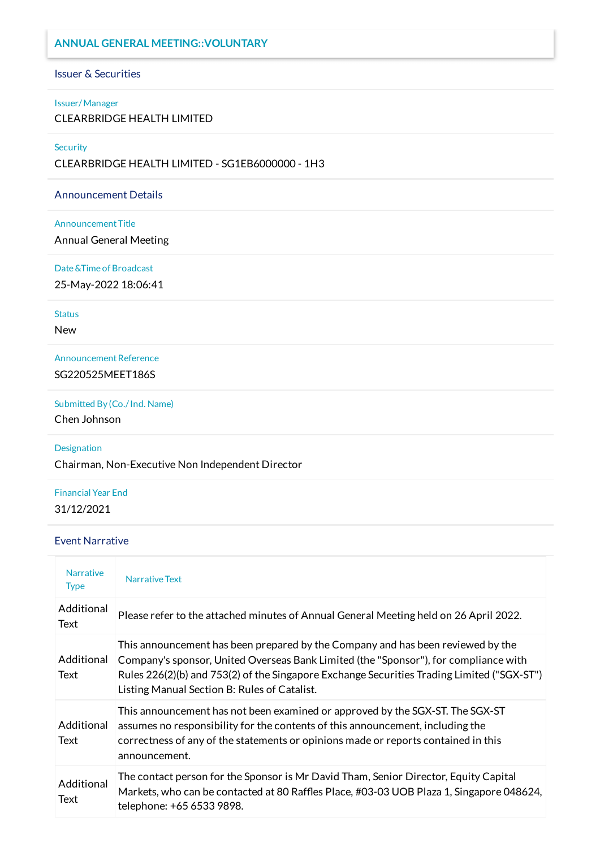### **ANNUAL GENERAL MEETING::VOLUNTARY**

#### Issuer & Securities

### Issuer/Manager

CLEARBRIDGE HEALTH LIMITED

#### **Security**

CLEARBRIDGE HEALTH LIMITED - SG1EB6000000 - 1H3

#### Announcement Details

#### Announcement Title

Annual General Meeting

#### Date &Time of Broadcast

25-May-2022 18:06:41

#### **Status**

New

Announcement Reference SG220525MEET186S

Submitted By (Co./Ind. Name)

Chen Johnson

### Designation

Chairman, Non-Executive Non Independent Director

## Financial Year End 31/12/2021

### Event Narrative

| <b>Narrative</b><br><b>Type</b> | <b>Narrative Text</b>                                                                                                                                                                                                                                                                                                 |
|---------------------------------|-----------------------------------------------------------------------------------------------------------------------------------------------------------------------------------------------------------------------------------------------------------------------------------------------------------------------|
| Additional<br>Text              | Please refer to the attached minutes of Annual General Meeting held on 26 April 2022.                                                                                                                                                                                                                                 |
| Additional<br>Text              | This announcement has been prepared by the Company and has been reviewed by the<br>Company's sponsor, United Overseas Bank Limited (the "Sponsor"), for compliance with<br>Rules 226(2)(b) and 753(2) of the Singapore Exchange Securities Trading Limited ("SGX-ST")<br>Listing Manual Section B: Rules of Catalist. |
| Additional<br>Text              | This announcement has not been examined or approved by the SGX-ST. The SGX-ST<br>assumes no responsibility for the contents of this announcement, including the<br>correctness of any of the statements or opinions made or reports contained in this<br>announcement.                                                |
| Additional<br>Text              | The contact person for the Sponsor is Mr David Tham, Senior Director, Equity Capital<br>Markets, who can be contacted at 80 Raffles Place, #03-03 UOB Plaza 1, Singapore 048624,<br>telephone: +65 6533 9898.                                                                                                         |